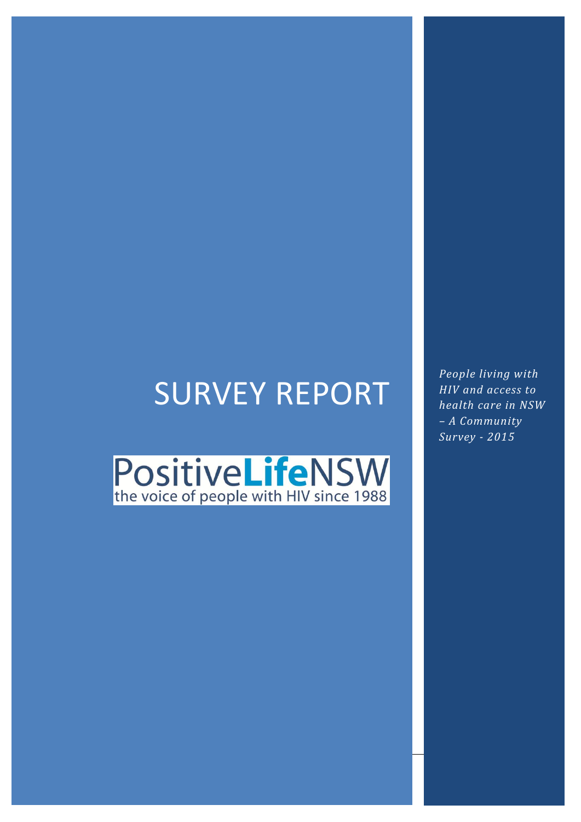# SURVEY REPORT

PositiveLifeNSW

*People living with HIV and access to health care in NSW – A Community Survey - 2015*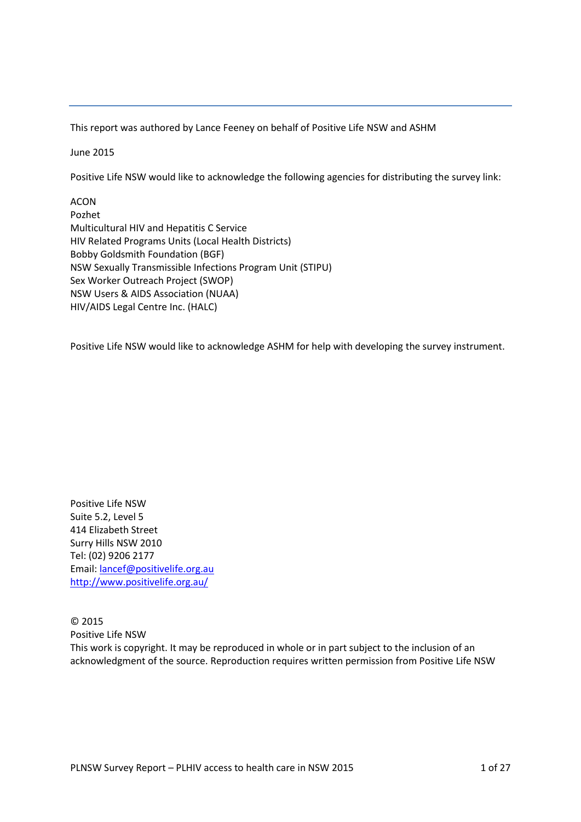This report was authored by Lance Feeney on behalf of Positive Life NSW and ASHM

June 2015

Positive Life NSW would like to acknowledge the following agencies for distributing the survey link:

ACON Pozhet Multicultural HIV and Hepatitis C Service HIV Related Programs Units (Local Health Districts) Bobby Goldsmith Foundation (BGF) NSW Sexually Transmissible Infections Program Unit (STIPU) Sex Worker Outreach Project (SWOP) NSW Users & AIDS Association (NUAA) HIV/AIDS Legal Centre Inc. (HALC)

Positive Life NSW would like to acknowledge ASHM for help with developing the survey instrument.

Positive Life NSW Suite 5.2, Level 5 414 Elizabeth Street Surry Hills NSW 2010 Tel: (02) 9206 2177 Email: [lancef@positivelife.org.au](mailto:lancef@positivelife.org.au) <http://www.positivelife.org.au/>

© 2015 Positive Life NSW This work is copyright. It may be reproduced in whole or in part subject to the inclusion of an acknowledgment of the source. Reproduction requires written permission from Positive Life NSW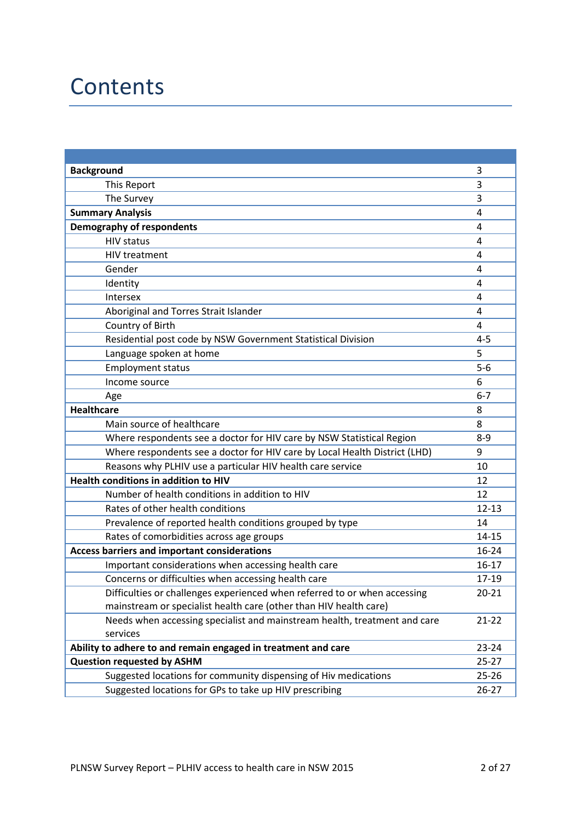### **Contents**

| <b>Background</b>                                                          | 3         |
|----------------------------------------------------------------------------|-----------|
| This Report                                                                | 3         |
| The Survey                                                                 | 3         |
| <b>Summary Analysis</b>                                                    | 4         |
| <b>Demography of respondents</b>                                           | 4         |
| <b>HIV status</b>                                                          | 4         |
| <b>HIV treatment</b>                                                       | 4         |
| Gender                                                                     | 4         |
| Identity                                                                   | 4         |
| Intersex                                                                   | 4         |
| Aboriginal and Torres Strait Islander                                      | 4         |
| Country of Birth                                                           | 4         |
| Residential post code by NSW Government Statistical Division               | $4 - 5$   |
| Language spoken at home                                                    | 5         |
| <b>Employment status</b>                                                   | $5-6$     |
| Income source                                                              | 6         |
| Age                                                                        | $6 - 7$   |
| <b>Healthcare</b>                                                          | 8         |
| Main source of healthcare                                                  | 8         |
| Where respondents see a doctor for HIV care by NSW Statistical Region      | $8 - 9$   |
| Where respondents see a doctor for HIV care by Local Health District (LHD) | 9         |
| Reasons why PLHIV use a particular HIV health care service                 | 10        |
| Health conditions in addition to HIV                                       | 12        |
| Number of health conditions in addition to HIV                             | 12        |
| Rates of other health conditions                                           | $12 - 13$ |
| Prevalence of reported health conditions grouped by type                   | 14        |
| Rates of comorbidities across age groups                                   | $14 - 15$ |
| <b>Access barriers and important considerations</b>                        | $16 - 24$ |
| Important considerations when accessing health care                        | $16 - 17$ |
| Concerns or difficulties when accessing health care                        | 17-19     |
| Difficulties or challenges experienced when referred to or when accessing  | $20 - 21$ |
| mainstream or specialist health care (other than HIV health care)          |           |
| Needs when accessing specialist and mainstream health, treatment and care  | $21 - 22$ |
| services                                                                   |           |
| Ability to adhere to and remain engaged in treatment and care              | $23 - 24$ |
| <b>Question requested by ASHM</b>                                          | $25 - 27$ |
| Suggested locations for community dispensing of Hiv medications            | $25 - 26$ |
| Suggested locations for GPs to take up HIV prescribing                     | $26 - 27$ |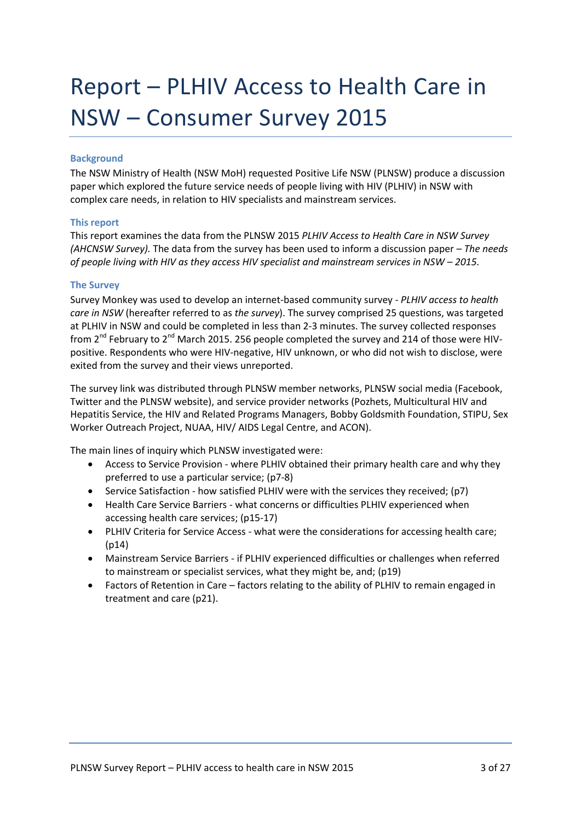### Report – PLHIV Access to Health Care in NSW – Consumer Survey 2015

#### **Background**

The NSW Ministry of Health (NSW MoH) requested Positive Life NSW (PLNSW) produce a discussion paper which explored the future service needs of people living with HIV (PLHIV) in NSW with complex care needs, in relation to HIV specialists and mainstream services.

#### **This report**

This report examines the data from the PLNSW 2015 *PLHIV Access to Health Care in NSW Survey (AHCNSW Survey).* The data from the survey has been used to inform a discussion paper – *The needs of people living with HIV as they access HIV specialist and mainstream services in NSW – 2015.* 

#### **The Survey**

Survey Monkey was used to develop an internet-based community survey - *PLHIV access to health care in NSW* (hereafter referred to as *the survey*). The survey comprised 25 questions, was targeted at PLHIV in NSW and could be completed in less than 2-3 minutes. The survey collected responses from 2<sup>nd</sup> February to 2<sup>nd</sup> March 2015. 256 people completed the survey and 214 of those were HIVpositive. Respondents who were HIV-negative, HIV unknown, or who did not wish to disclose, were exited from the survey and their views unreported.

The survey link was distributed through PLNSW member networks, PLNSW social media (Facebook, Twitter and the PLNSW website), and service provider networks (Pozhets, Multicultural HIV and Hepatitis Service, the HIV and Related Programs Managers, Bobby Goldsmith Foundation, STIPU, Sex Worker Outreach Project, NUAA, HIV/ AIDS Legal Centre, and ACON).

The main lines of inquiry which PLNSW investigated were:

- Access to Service Provision where PLHIV obtained their primary health care and why they preferred to use a particular service; (p7-8)
- Service Satisfaction how satisfied PLHIV were with the services they received; (p7)
- Health Care Service Barriers what concerns or difficulties PLHIV experienced when accessing health care services; (p15-17)
- PLHIV Criteria for Service Access what were the considerations for accessing health care; (p14)
- Mainstream Service Barriers if PLHIV experienced difficulties or challenges when referred to mainstream or specialist services, what they might be, and; (p19)
- Factors of Retention in Care factors relating to the ability of PLHIV to remain engaged in treatment and care (p21).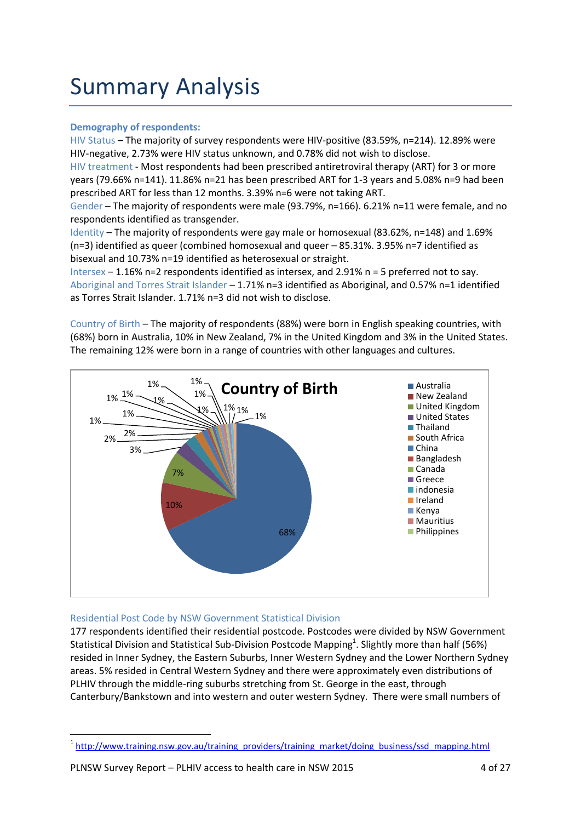### Summary Analysis

#### **Demography of respondents:**

HIV Status – The majority of survey respondents were HIV-positive (83.59%, n=214). 12.89% were HIV-negative, 2.73% were HIV status unknown, and 0.78% did not wish to disclose.

HIV treatment - Most respondents had been prescribed antiretroviral therapy (ART) for 3 or more years (79.66% n=141). 11.86% n=21 has been prescribed ART for 1-3 years and 5.08% n=9 had been prescribed ART for less than 12 months. 3.39% n=6 were not taking ART.

Gender – The majority of respondents were male (93.79%, n=166). 6.21% n=11 were female, and no respondents identified as transgender.

Identity – The majority of respondents were gay male or homosexual (83.62%, n=148) and 1.69% (n=3) identified as queer (combined homosexual and queer – 85.31%. 3.95% n=7 identified as bisexual and 10.73% n=19 identified as heterosexual or straight.

Intersex – 1.16% n=2 respondents identified as intersex, and 2.91% n = 5 preferred not to say. Aboriginal and Torres Strait Islander – 1.71% n=3 identified as Aboriginal, and 0.57% n=1 identified as Torres Strait Islander. 1.71% n=3 did not wish to disclose.

Country of Birth – The majority of respondents (88%) were born in English speaking countries, with (68%) born in Australia, 10% in New Zealand, 7% in the United Kingdom and 3% in the United States. The remaining 12% were born in a range of countries with other languages and cultures.



#### Residential Post Code by NSW Government Statistical Division

177 respondents identified their residential postcode. Postcodes were divided by NSW Government Statistical Division and Statistical Sub-Division Postcode Mapping<sup>1</sup>. Slightly more than half (56%) resided in Inner Sydney, the Eastern Suburbs, Inner Western Sydney and the Lower Northern Sydney areas. 5% resided in Central Western Sydney and there were approximately even distributions of PLHIV through the middle-ring suburbs stretching from St. George in the east, through Canterbury/Bankstown and into western and outer western Sydney. There were small numbers of

**.** 

<sup>&</sup>lt;sup>1</sup> [http://www.training.nsw.gov.au/training\\_providers/training\\_market/doing\\_business/ssd\\_mapping.html](http://www.training.nsw.gov.au/training_providers/training_market/doing_business/ssd_mapping.html)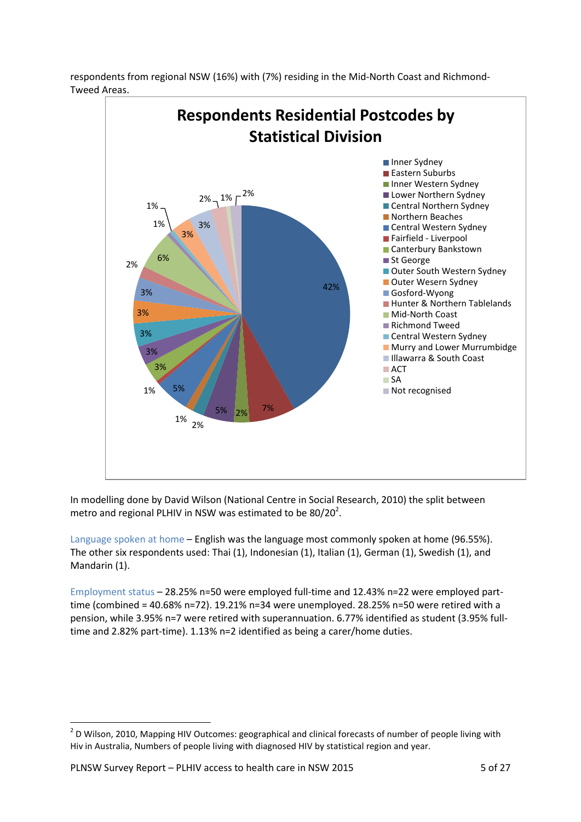

respondents from regional NSW (16%) with (7%) residing in the Mid-North Coast and Richmond-Tweed Areas.

In modelling done by David Wilson (National Centre in Social Research, 2010) the split between metro and regional PLHIV in NSW was estimated to be 80/20 $^2$ .

Language spoken at home – English was the language most commonly spoken at home (96.55%). The other six respondents used: Thai (1), Indonesian (1), Italian (1), German (1), Swedish (1), and Mandarin (1).

Employment status – 28.25% n=50 were employed full-time and 12.43% n=22 were employed parttime (combined = 40.68% n=72). 19.21% n=34 were unemployed. 28.25% n=50 were retired with a pension, while 3.95% n=7 were retired with superannuation. 6.77% identified as student (3.95% fulltime and 2.82% part-time). 1.13% n=2 identified as being a carer/home duties.

**THE SECTS 10 ACTS 2010**<br><sup>2</sup> D Wilson, 2010, Mapping HIV Outcomes: geographical and clinical forecasts of number of people living with Hiv in Australia, Numbers of people living with diagnosed HIV by statistical region and year.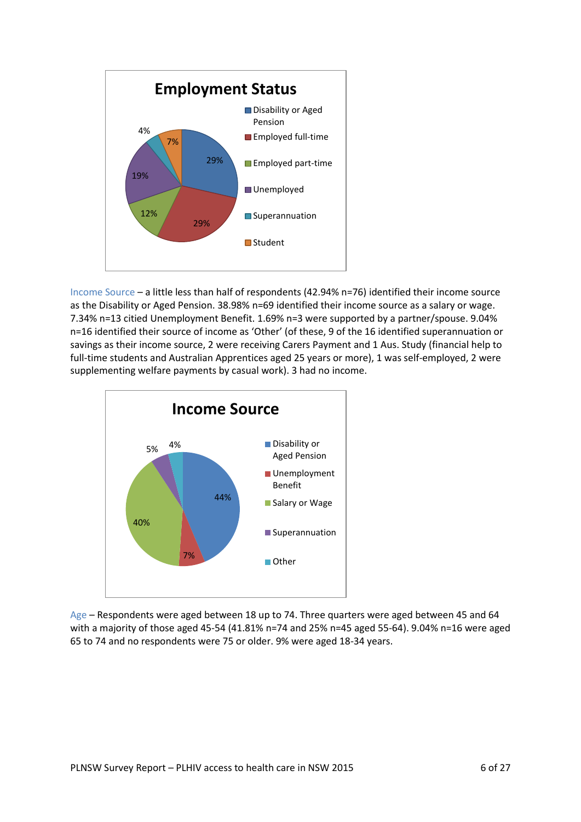

Income Source – a little less than half of respondents (42.94% n=76) identified their income source as the Disability or Aged Pension. 38.98% n=69 identified their income source as a salary or wage. 7.34% n=13 citied Unemployment Benefit. 1.69% n=3 were supported by a partner/spouse. 9.04% n=16 identified their source of income as 'Other' (of these, 9 of the 16 identified superannuation or savings as their income source, 2 were receiving Carers Payment and 1 Aus. Study (financial help to full-time students and Australian Apprentices aged 25 years or more), 1 was self-employed, 2 were supplementing welfare payments by casual work). 3 had no income.



Age – Respondents were aged between 18 up to 74. Three quarters were aged between 45 and 64 with a majority of those aged 45-54 (41.81% n=74 and 25% n=45 aged 55-64). 9.04% n=16 were aged 65 to 74 and no respondents were 75 or older. 9% were aged 18-34 years.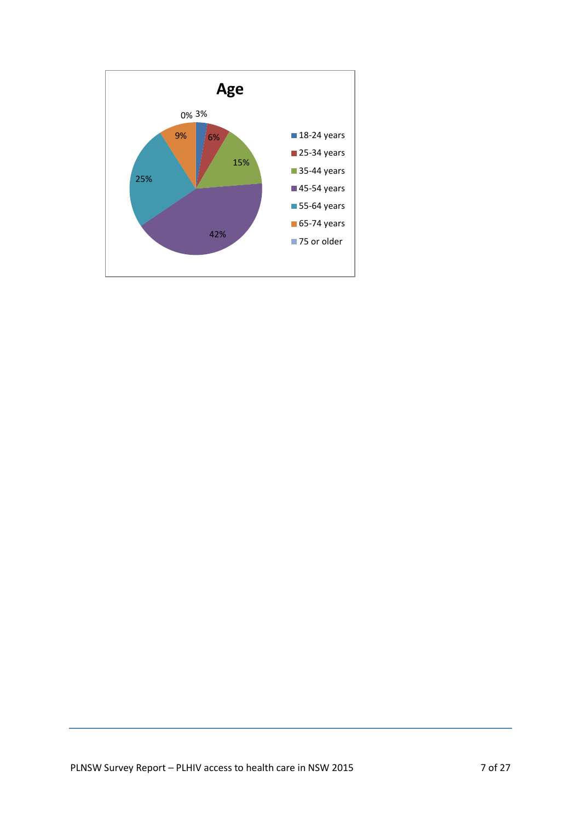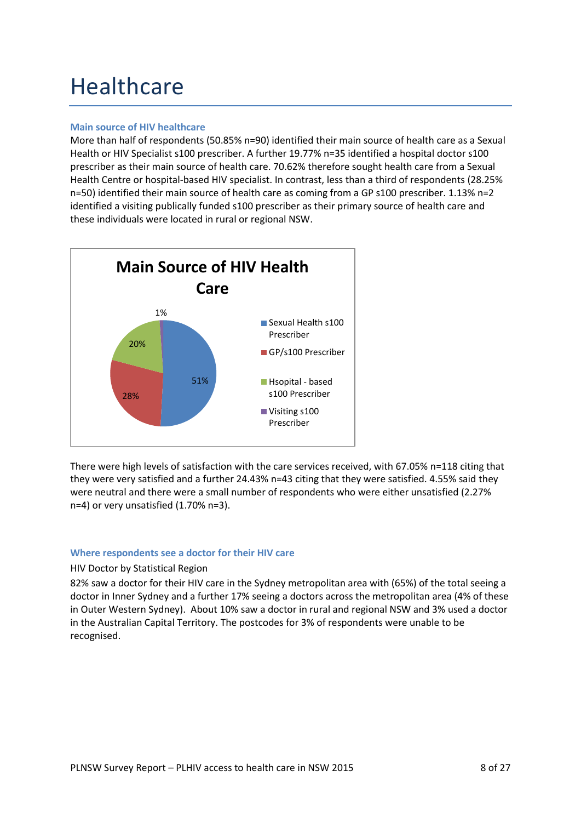### **Healthcare**

#### **Main source of HIV healthcare**

More than half of respondents (50.85% n=90) identified their main source of health care as a Sexual Health or HIV Specialist s100 prescriber. A further 19.77% n=35 identified a hospital doctor s100 prescriber as their main source of health care. 70.62% therefore sought health care from a Sexual Health Centre or hospital-based HIV specialist. In contrast, less than a third of respondents (28.25% n=50) identified their main source of health care as coming from a GP s100 prescriber. 1.13% n=2 identified a visiting publically funded s100 prescriber as their primary source of health care and these individuals were located in rural or regional NSW.



There were high levels of satisfaction with the care services received, with 67.05% n=118 citing that they were very satisfied and a further 24.43% n=43 citing that they were satisfied. 4.55% said they were neutral and there were a small number of respondents who were either unsatisfied (2.27% n=4) or very unsatisfied (1.70% n=3).

#### **Where respondents see a doctor for their HIV care**

#### HIV Doctor by Statistical Region

82% saw a doctor for their HIV care in the Sydney metropolitan area with (65%) of the total seeing a doctor in Inner Sydney and a further 17% seeing a doctors across the metropolitan area (4% of these in Outer Western Sydney). About 10% saw a doctor in rural and regional NSW and 3% used a doctor in the Australian Capital Territory. The postcodes for 3% of respondents were unable to be recognised.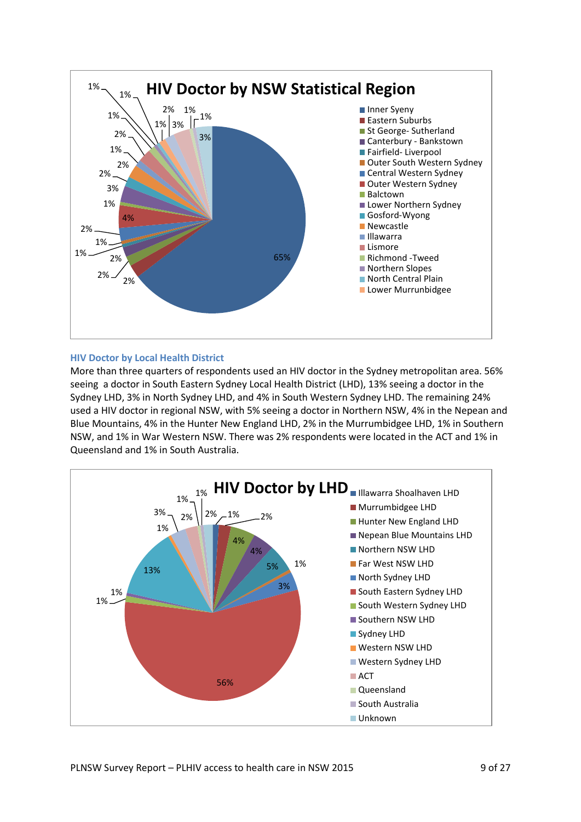

#### **HIV Doctor by Local Health District**

More than three quarters of respondents used an HIV doctor in the Sydney metropolitan area. 56% seeing a doctor in South Eastern Sydney Local Health District (LHD), 13% seeing a doctor in the Sydney LHD, 3% in North Sydney LHD, and 4% in South Western Sydney LHD. The remaining 24% used a HIV doctor in regional NSW, with 5% seeing a doctor in Northern NSW, 4% in the Nepean and Blue Mountains, 4% in the Hunter New England LHD, 2% in the Murrumbidgee LHD, 1% in Southern NSW, and 1% in War Western NSW. There was 2% respondents were located in the ACT and 1% in Queensland and 1% in South Australia.

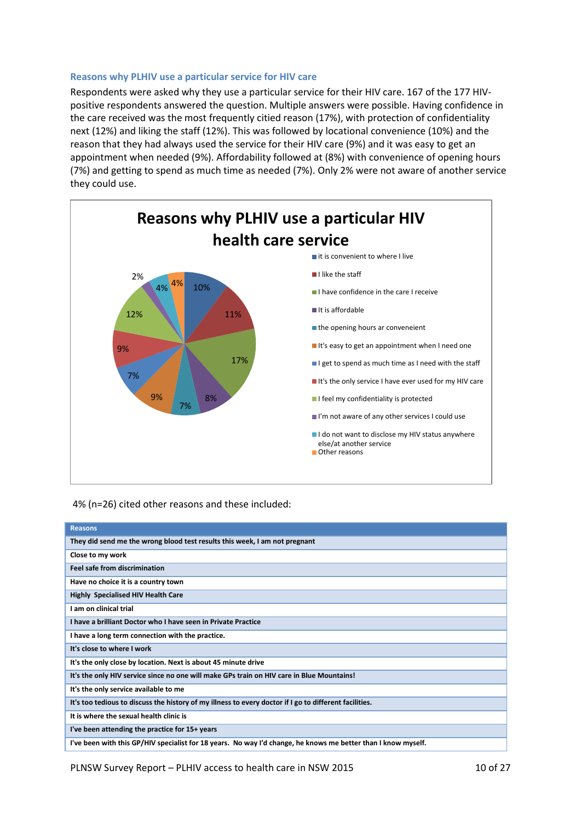#### **Reasons why PLHIV use a particular service for HIV care**

Respondents were asked why they use a particular service for their HIV care. 167 of the 177 HIVpositive respondents answered the question. Multiple answers were possible. Having confidence in the care received was the most frequently citied reason (17%), with protection of confidentiality next (12%) and liking the staff (12%). This was followed by locational convenience (10%) and the reason that they had always used the service for their HIV care (9%) and it was easy to get an appointment when needed (9%). Affordability followed at (8%) with convenience of opening hours (7%) and getting to spend as much time as needed (7%). Only 2% were not aware of another service they could use.



#### 4% (n=26) cited other reasons and these included:

| <b>Reasons</b>                                                                                                |
|---------------------------------------------------------------------------------------------------------------|
| They did send me the wrong blood test results this week, I am not pregnant                                    |
| Close to my work                                                                                              |
| <b>Feel safe from discrimination</b>                                                                          |
| Have no choice it is a country town                                                                           |
| <b>Highly Specialised HIV Health Care</b>                                                                     |
| I am on clinical trial                                                                                        |
| I have a brilliant Doctor who I have seen in Private Practice                                                 |
| I have a long term connection with the practice.                                                              |
| It's close to where I work                                                                                    |
| It's the only close by location. Next is about 45 minute drive                                                |
| It's the only HIV service since no one will make GPs train on HIV care in Blue Mountains!                     |
| It's the only service available to me                                                                         |
| It's too tedious to discuss the history of my illness to every doctor if I go to different facilities.        |
| It is where the sexual health clinic is                                                                       |
| I've been attending the practice for 15+ years                                                                |
| I've been with this GP/HIV specialist for 18 years. No way I'd change, he knows me better than I know myself. |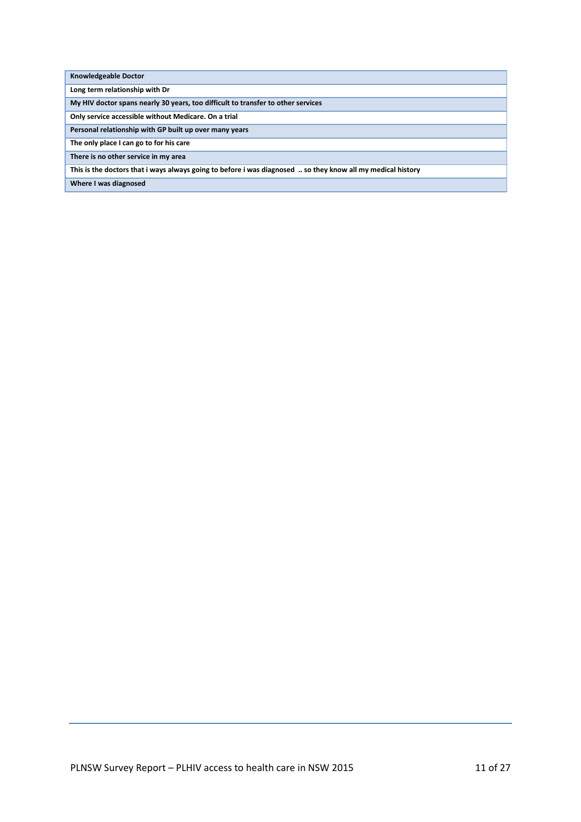| <b>Knowledgeable Doctor</b> |  |
|-----------------------------|--|
|-----------------------------|--|

**Long term relationship with Dr**

**My HIV doctor spans nearly 30 years, too difficult to transfer to other services**

**Only service accessible without Medicare. On a trial**

**Personal relationship with GP built up over many years**

**The only place I can go to for his care**

**There is no other service in my area**

**This is the doctors that i ways always going to before i was diagnosed .. so they know all my medical history** 

**Where I was diagnosed**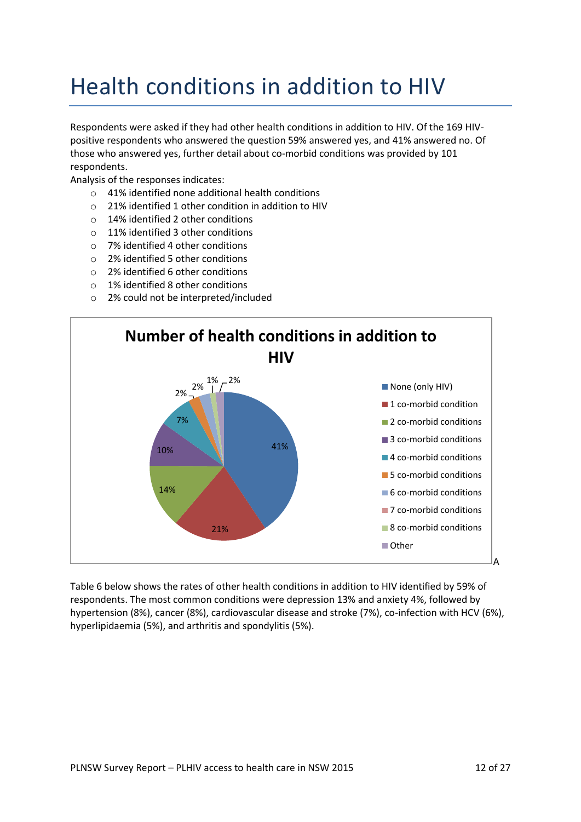### Health conditions in addition to HIV

Respondents were asked if they had other health conditions in addition to HIV. Of the 169 HIVpositive respondents who answered the question 59% answered yes, and 41% answered no. Of those who answered yes, further detail about co-morbid conditions was provided by 101 respondents.

Analysis of the responses indicates:

- $\circ$  41% identified none additional health conditions
- $\circ$  21% identified 1 other condition in addition to HIV
- o 14% identified 2 other conditions
- o 11% identified 3 other conditions
- o 7% identified 4 other conditions
- o 2% identified 5 other conditions
- o 2% identified 6 other conditions
- o 1% identified 8 other conditions
- o 2% could not be interpreted/included



Table 6 below shows the rates of other health conditions in addition to HIV identified by 59% of respondents. The most common conditions were depression 13% and anxiety 4%, followed by hypertension (8%), cancer (8%), cardiovascular disease and stroke (7%), co-infection with HCV (6%), hyperlipidaemia (5%), and arthritis and spondylitis (5%).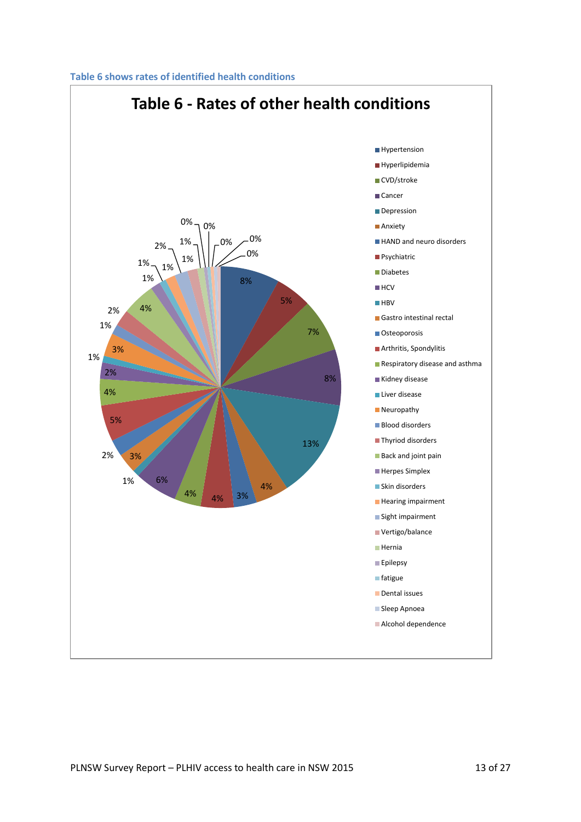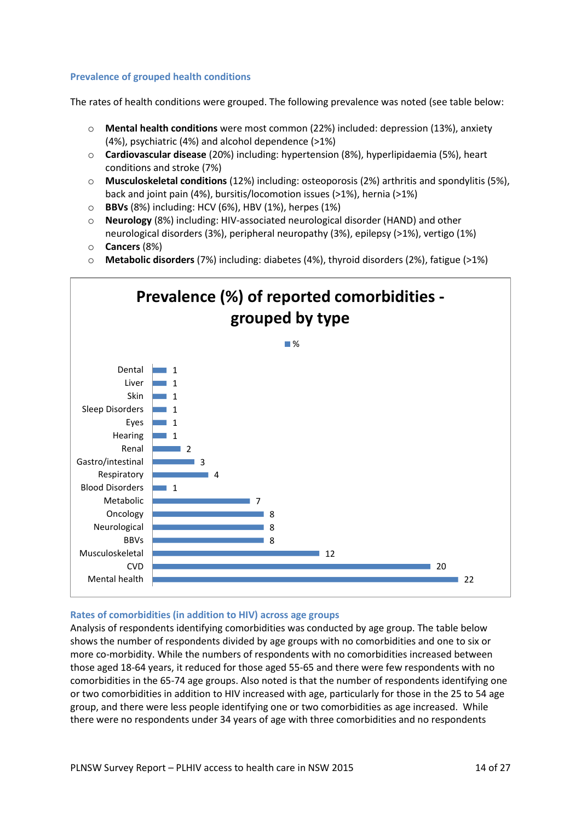#### **Prevalence of grouped health conditions**

The rates of health conditions were grouped. The following prevalence was noted (see table below:

- o **Mental health conditions** were most common (22%) included: depression (13%), anxiety (4%), psychiatric (4%) and alcohol dependence (>1%)
- o **Cardiovascular disease** (20%) including: hypertension (8%), hyperlipidaemia (5%), heart conditions and stroke (7%)
- o **Musculoskeletal conditions** (12%) including: osteoporosis (2%) arthritis and spondylitis (5%), back and joint pain (4%), bursitis/locomotion issues (>1%), hernia (>1%)
- o **BBVs** (8%) including: HCV (6%), HBV (1%), herpes (1%)
- o **Neurology** (8%) including: HIV-associated neurological disorder (HAND) and other neurological disorders (3%), peripheral neuropathy (3%), epilepsy (>1%), vertigo (1%)
- o **Cancers** (8%)
- o **Metabolic disorders** (7%) including: diabetes (4%), thyroid disorders (2%), fatigue (>1%)



#### **Rates of comorbidities (in addition to HIV) across age groups**

Analysis of respondents identifying comorbidities was conducted by age group. The table below shows the number of respondents divided by age groups with no comorbidities and one to six or more co-morbidity. While the numbers of respondents with no comorbidities increased between those aged 18-64 years, it reduced for those aged 55-65 and there were few respondents with no comorbidities in the 65-74 age groups. Also noted is that the number of respondents identifying one or two comorbidities in addition to HIV increased with age, particularly for those in the 25 to 54 age group, and there were less people identifying one or two comorbidities as age increased. While there were no respondents under 34 years of age with three comorbidities and no respondents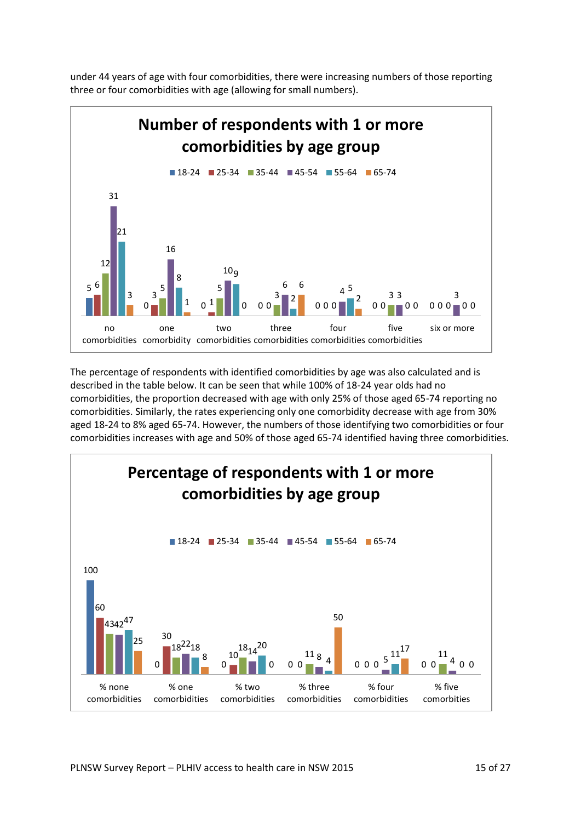under 44 years of age with four comorbidities, there were increasing numbers of those reporting three or four comorbidities with age (allowing for small numbers).



The percentage of respondents with identified comorbidities by age was also calculated and is described in the table below. It can be seen that while 100% of 18-24 year olds had no comorbidities, the proportion decreased with age with only 25% of those aged 65-74 reporting no comorbidities. Similarly, the rates experiencing only one comorbidity decrease with age from 30% aged 18-24 to 8% aged 65-74. However, the numbers of those identifying two comorbidities or four comorbidities increases with age and 50% of those aged 65-74 identified having three comorbidities.

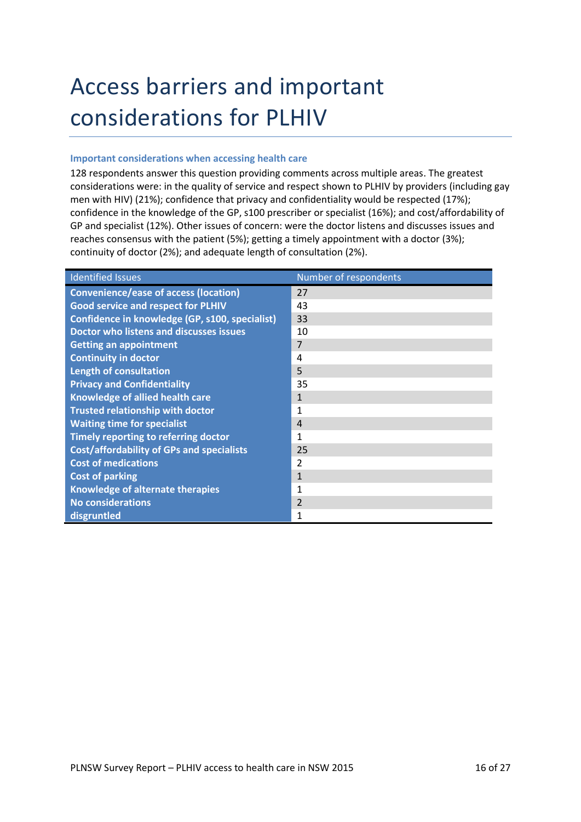## Access barriers and important considerations for PLHIV

#### **Important considerations when accessing health care**

128 respondents answer this question providing comments across multiple areas. The greatest considerations were: in the quality of service and respect shown to PLHIV by providers (including gay men with HIV) (21%); confidence that privacy and confidentiality would be respected (17%); confidence in the knowledge of the GP, s100 prescriber or specialist (16%); and cost/affordability of GP and specialist (12%). Other issues of concern: were the doctor listens and discusses issues and reaches consensus with the patient (5%); getting a timely appointment with a doctor (3%); continuity of doctor (2%); and adequate length of consultation (2%).

| <b>Identified Issues</b>                         | Number of respondents |
|--------------------------------------------------|-----------------------|
| <b>Convenience/ease of access (location)</b>     | 27                    |
| <b>Good service and respect for PLHIV</b>        | 43                    |
| Confidence in knowledge (GP, s100, specialist)   | 33                    |
| <b>Doctor who listens and discusses issues</b>   | 10                    |
| <b>Getting an appointment</b>                    | 7                     |
| <b>Continuity in doctor</b>                      | 4                     |
| <b>Length of consultation</b>                    | 5                     |
| <b>Privacy and Confidentiality</b>               | 35                    |
| Knowledge of allied health care                  | $\mathbf{1}$          |
| <b>Trusted relationship with doctor</b>          | 1                     |
| <b>Waiting time for specialist</b>               | $\overline{4}$        |
| Timely reporting to referring doctor             | 1                     |
| <b>Cost/affordability of GPs and specialists</b> | 25                    |
| <b>Cost of medications</b>                       | 2                     |
| <b>Cost of parking</b>                           | $\mathbf{1}$          |
| Knowledge of alternate therapies                 | 1                     |
| <b>No considerations</b>                         | $\overline{2}$        |
| disgruntled                                      | 1                     |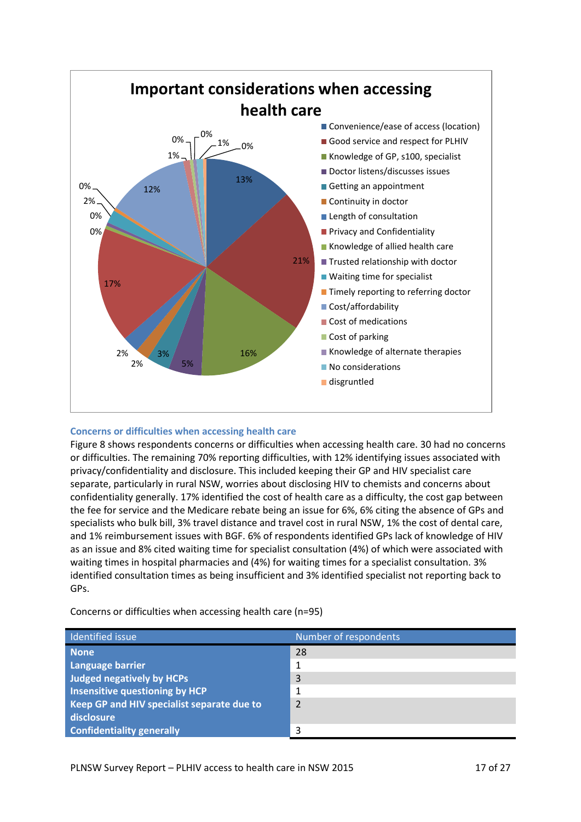

#### **Concerns or difficulties when accessing health care**

Figure 8 shows respondents concerns or difficulties when accessing health care. 30 had no concerns or difficulties. The remaining 70% reporting difficulties, with 12% identifying issues associated with privacy/confidentiality and disclosure. This included keeping their GP and HIV specialist care separate, particularly in rural NSW, worries about disclosing HIV to chemists and concerns about confidentiality generally. 17% identified the cost of health care as a difficulty, the cost gap between the fee for service and the Medicare rebate being an issue for 6%, 6% citing the absence of GPs and specialists who bulk bill, 3% travel distance and travel cost in rural NSW, 1% the cost of dental care, and 1% reimbursement issues with BGF. 6% of respondents identified GPs lack of knowledge of HIV as an issue and 8% cited waiting time for specialist consultation (4%) of which were associated with waiting times in hospital pharmacies and (4%) for waiting times for a specialist consultation. 3% identified consultation times as being insufficient and 3% identified specialist not reporting back to GPs.

| Identified issue                           | Number of respondents |
|--------------------------------------------|-----------------------|
| <b>None</b>                                | 28                    |
| Language barrier                           | 1                     |
| <b>Judged negatively by HCPs</b>           | 3                     |
| Insensitive questioning by HCP             | 1                     |
| Keep GP and HIV specialist separate due to | 2                     |
| disclosure                                 |                       |
| <b>Confidentiality generally</b>           | 3                     |

Concerns or difficulties when accessing health care (n=95)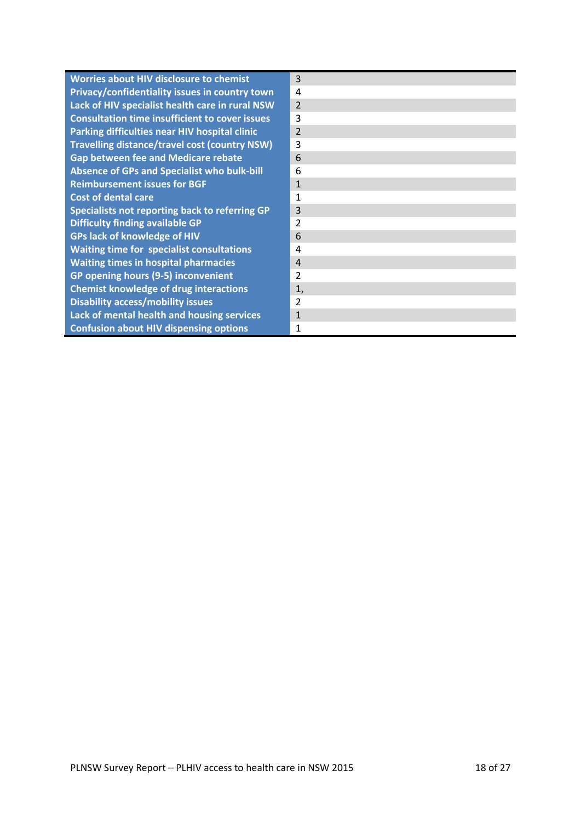| <b>Worries about HIV disclosure to chemist</b>        | 3              |
|-------------------------------------------------------|----------------|
| Privacy/confidentiality issues in country town        | 4              |
| Lack of HIV specialist health care in rural NSW       | $\overline{2}$ |
| <b>Consultation time insufficient to cover issues</b> | 3              |
| Parking difficulties near HIV hospital clinic         | $\overline{2}$ |
| <b>Travelling distance/travel cost (country NSW)</b>  | 3              |
| <b>Gap between fee and Medicare rebate</b>            | 6              |
| <b>Absence of GPs and Specialist who bulk-bill</b>    | 6              |
| <b>Reimbursement issues for BGF</b>                   | $\mathbf{1}$   |
| <b>Cost of dental care</b>                            | 1              |
| Specialists not reporting back to referring GP        | 3              |
| <b>Difficulty finding available GP</b>                | $\overline{2}$ |
| <b>GPs lack of knowledge of HIV</b>                   | 6              |
| <b>Waiting time for specialist consultations</b>      | $\overline{a}$ |
| <b>Waiting times in hospital pharmacies</b>           | $\overline{4}$ |
| GP opening hours (9-5) inconvenient                   | $\overline{2}$ |
| <b>Chemist knowledge of drug interactions</b>         | 1,             |
| <b>Disability access/mobility issues</b>              | 2              |
| <b>Lack of mental health and housing services</b>     | $\mathbf{1}$   |
| <b>Confusion about HIV dispensing options</b>         | 1              |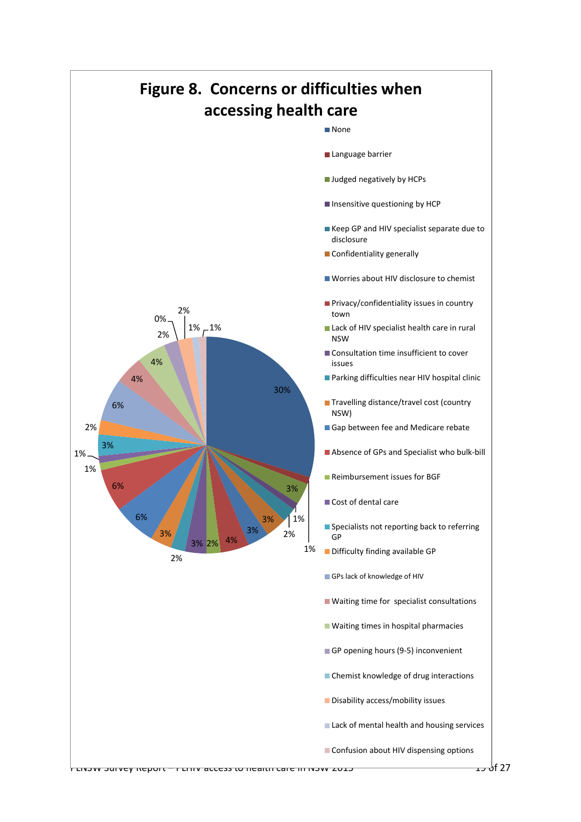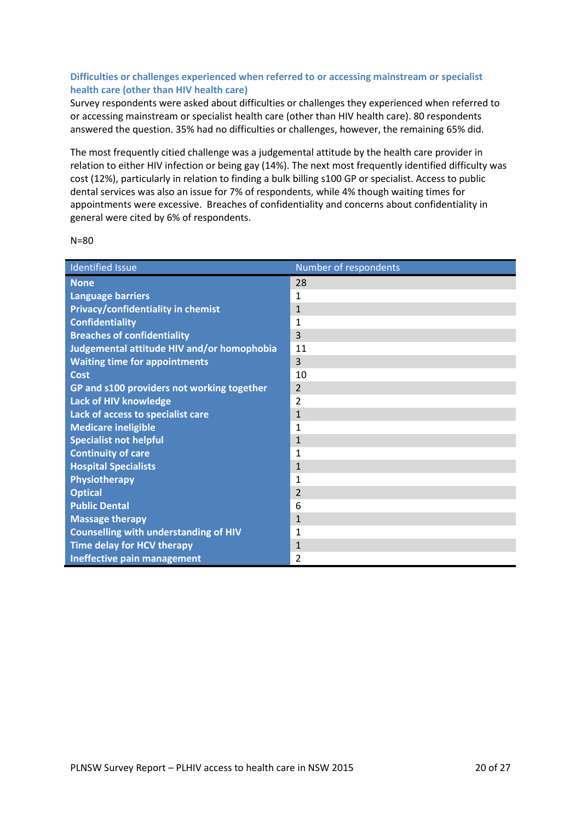#### **Difficulties or challenges experienced when referred to or accessing mainstream or specialist health care (other than HIV health care)**

Survey respondents were asked about difficulties or challenges they experienced when referred to or accessing mainstream or specialist health care (other than HIV health care). 80 respondents answered the question. 35% had no difficulties or challenges, however, the remaining 65% did.

The most frequently citied challenge was a judgemental attitude by the health care provider in relation to either HIV infection or being gay (14%). The next most frequently identified difficulty was cost (12%), particularly in relation to finding a bulk billing s100 GP or specialist. Access to public dental services was also an issue for 7% of respondents, while 4% though waiting times for appointments were excessive. Breaches of confidentiality and concerns about confidentiality in general were cited by 6% of respondents.

| <b>Identified Issue</b>                      | Number of respondents |
|----------------------------------------------|-----------------------|
| <b>None</b>                                  | 28                    |
| <b>Language barriers</b>                     | $\mathbf{1}$          |
| Privacy/confidentiality in chemist           | $\mathbf{1}$          |
| <b>Confidentiality</b>                       | $\mathbf{1}$          |
| <b>Breaches of confidentiality</b>           | 3                     |
| Judgemental attitude HIV and/or homophobia   | 11                    |
| <b>Waiting time for appointments</b>         | 3                     |
| Cost                                         | 10                    |
| GP and s100 providers not working together   | $\overline{2}$        |
| <b>Lack of HIV knowledge</b>                 | $\overline{2}$        |
| Lack of access to specialist care            | $\mathbf{1}$          |
| <b>Medicare ineligible</b>                   | 1                     |
| <b>Specialist not helpful</b>                | $\mathbf{1}$          |
| <b>Continuity of care</b>                    | 1                     |
| <b>Hospital Specialists</b>                  | $\mathbf{1}$          |
| Physiotherapy                                | $\mathbf{1}$          |
| <b>Optical</b>                               | $\overline{2}$        |
| <b>Public Dental</b>                         | 6                     |
| <b>Massage therapy</b>                       | $\mathbf{1}$          |
| <b>Counselling with understanding of HIV</b> | 1                     |
| Time delay for HCV therapy                   | $\mathbf{1}$          |
| <b>Ineffective pain management</b>           | $\overline{2}$        |

N=80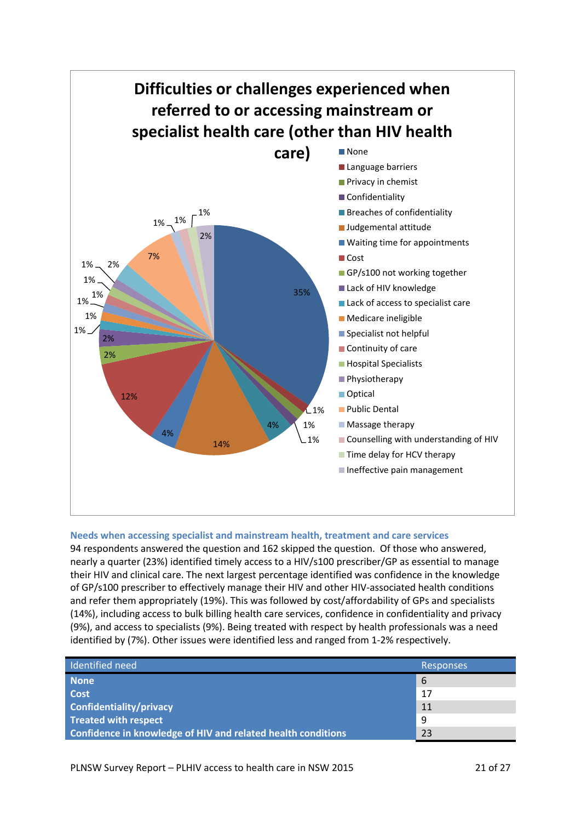

#### **Needs when accessing specialist and mainstream health, treatment and care services**

94 respondents answered the question and 162 skipped the question. Of those who answered, nearly a quarter (23%) identified timely access to a HIV/s100 prescriber/GP as essential to manage their HIV and clinical care. The next largest percentage identified was confidence in the knowledge of GP/s100 prescriber to effectively manage their HIV and other HIV-associated health conditions and refer them appropriately (19%). This was followed by cost/affordability of GPs and specialists (14%), including access to bulk billing health care services, confidence in confidentiality and privacy (9%), and access to specialists (9%). Being treated with respect by health professionals was a need identified by (7%). Other issues were identified less and ranged from 1-2% respectively.

| Identified need                                              | <b>Responses</b> |
|--------------------------------------------------------------|------------------|
| <b>None</b>                                                  | 6                |
| Cost                                                         | 17               |
| Confidentiality/privacy                                      | 11               |
| <b>Treated with respect</b>                                  | 9                |
| Confidence in knowledge of HIV and related health conditions | 23               |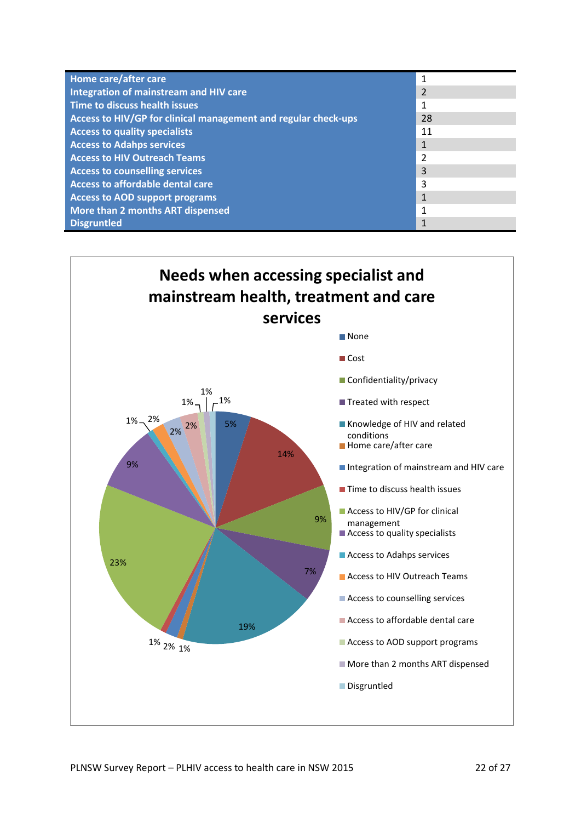| Home care/after care                                           | 1              |
|----------------------------------------------------------------|----------------|
| Integration of mainstream and HIV care                         | $\overline{2}$ |
| Time to discuss health issues                                  |                |
| Access to HIV/GP for clinical management and regular check-ups | 28             |
| <b>Access to quality specialists</b>                           | 11             |
| <b>Access to Adahps services</b>                               | 1              |
| <b>Access to HIV Outreach Teams</b>                            | 2              |
| <b>Access to counselling services</b>                          | 3              |
| Access to affordable dental care                               | 3              |
| <b>Access to AOD support programs</b>                          | $\mathbf{1}$   |
| More than 2 months ART dispensed                               | 1              |
| <b>Disgruntled</b>                                             |                |

### **Needs when accessing specialist and mainstream health, treatment and care services**

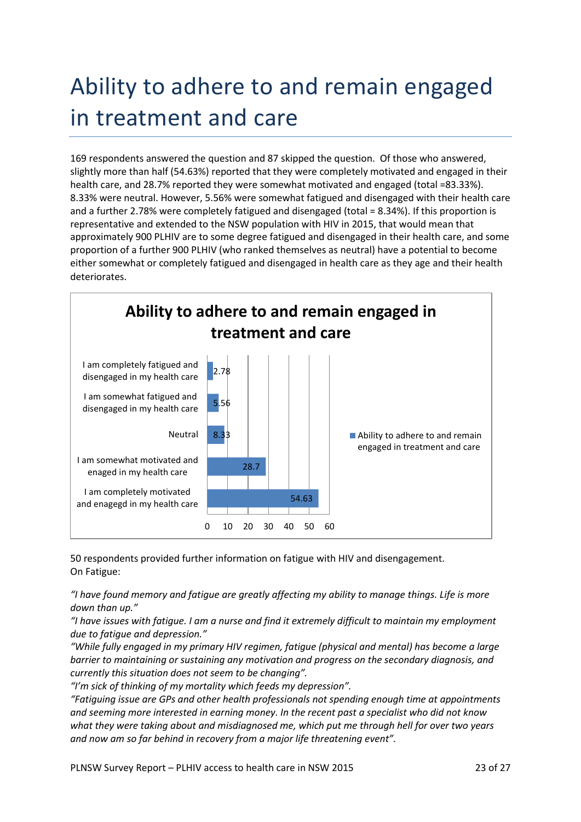### Ability to adhere to and remain engaged in treatment and care

169 respondents answered the question and 87 skipped the question. Of those who answered, slightly more than half (54.63%) reported that they were completely motivated and engaged in their health care, and 28.7% reported they were somewhat motivated and engaged (total =83.33%). 8.33% were neutral. However, 5.56% were somewhat fatigued and disengaged with their health care and a further 2.78% were completely fatigued and disengaged (total = 8.34%). If this proportion is representative and extended to the NSW population with HIV in 2015, that would mean that approximately 900 PLHIV are to some degree fatigued and disengaged in their health care, and some proportion of a further 900 PLHIV (who ranked themselves as neutral) have a potential to become either somewhat or completely fatigued and disengaged in health care as they age and their health deteriorates.



50 respondents provided further information on fatigue with HIV and disengagement. On Fatigue:

*"I have found memory and fatigue are greatly affecting my ability to manage things. Life is more down than up."*

*"I have issues with fatigue. I am a nurse and find it extremely difficult to maintain my employment due to fatigue and depression."*

*"While fully engaged in my primary HIV regimen, fatigue (physical and mental) has become a large barrier to maintaining or sustaining any motivation and progress on the secondary diagnosis, and currently this situation does not seem to be changing".*

*"I'm sick of thinking of my mortality which feeds my depression".*

*"Fatiguing issue are GPs and other health professionals not spending enough time at appointments and seeming more interested in earning money. In the recent past a specialist who did not know what they were taking about and misdiagnosed me, which put me through hell for over two years and now am so far behind in recovery from a major life threatening event".*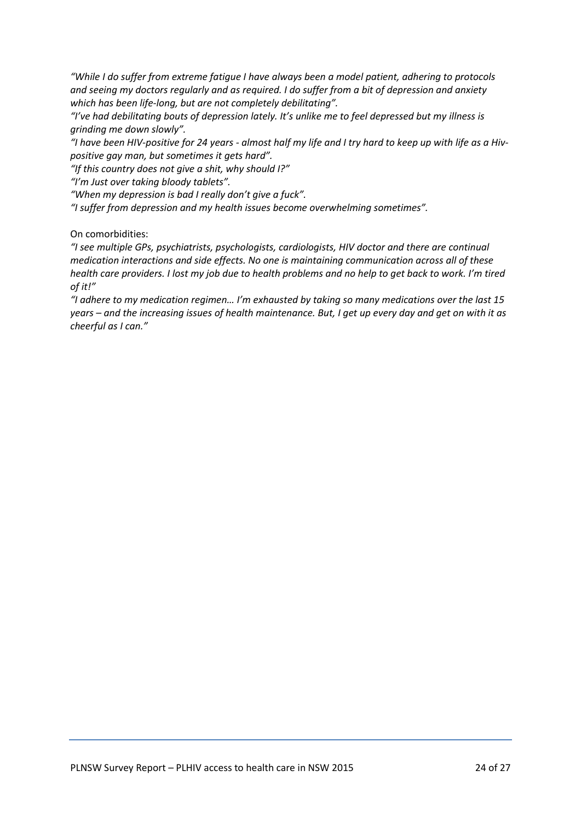*"While I do suffer from extreme fatigue I have always been a model patient, adhering to protocols and seeing my doctors regularly and as required. I do suffer from a bit of depression and anxiety which has been life-long, but are not completely debilitating".*

*"I've had debilitating bouts of depression lately. It's unlike me to feel depressed but my illness is grinding me down slowly".*

*"I have been HIV-positive for 24 years - almost half my life and I try hard to keep up with life as a Hivpositive gay man, but sometimes it gets hard".*

*"If this country does not give a shit, why should I?"*

*"I'm Just over taking bloody tablets".*

*"When my depression is bad I really don't give a fuck".*

*"I suffer from depression and my health issues become overwhelming sometimes".*

On comorbidities:

*"I see multiple GPs, psychiatrists, psychologists, cardiologists, HIV doctor and there are continual medication interactions and side effects. No one is maintaining communication across all of these health care providers. I lost my job due to health problems and no help to get back to work. I'm tired of it!"*

*"I adhere to my medication regimen… I'm exhausted by taking so many medications over the last 15 years – and the increasing issues of health maintenance. But, I get up every day and get on with it as cheerful as I can."*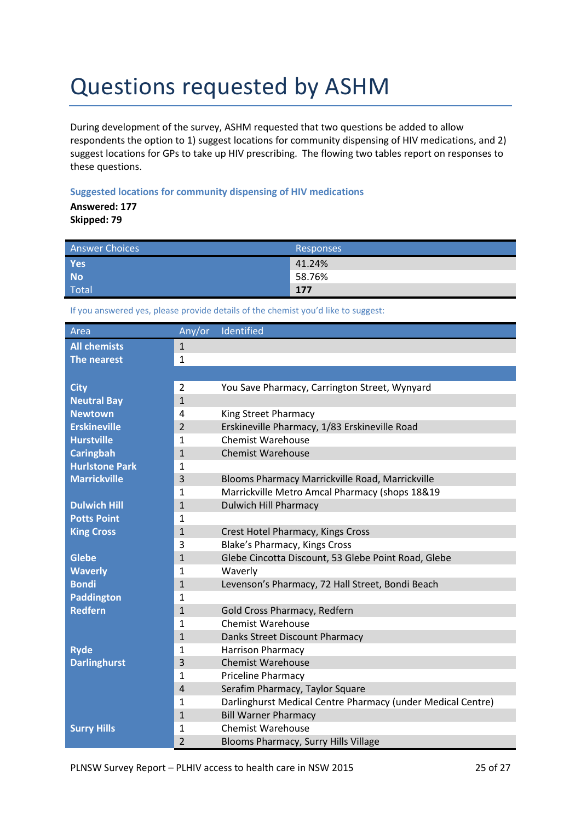### Questions requested by ASHM

During development of the survey, ASHM requested that two questions be added to allow respondents the option to 1) suggest locations for community dispensing of HIV medications, and 2) suggest locations for GPs to take up HIV prescribing. The flowing two tables report on responses to these questions.

#### **Suggested locations for community dispensing of HIV medications**

**Answered: 177 Skipped: 79**

| Answer Choices | Responses |
|----------------|-----------|
| Yes            | 41.24%    |
| <b>No</b>      | 58.76%    |
| <b>Total</b>   | 177       |

If you answered yes, please provide details of the chemist you'd like to suggest:

| Area                  | Any/or         | Identified                                                  |
|-----------------------|----------------|-------------------------------------------------------------|
| <b>All chemists</b>   | $\mathbf{1}$   |                                                             |
| The nearest           | $\mathbf{1}$   |                                                             |
|                       |                |                                                             |
| <b>City</b>           | $\overline{2}$ | You Save Pharmacy, Carrington Street, Wynyard               |
| <b>Neutral Bay</b>    | $\mathbf{1}$   |                                                             |
| <b>Newtown</b>        | 4              | King Street Pharmacy                                        |
| <b>Erskineville</b>   | $\overline{2}$ | Erskineville Pharmacy, 1/83 Erskineville Road               |
| <b>Hurstville</b>     | $\mathbf{1}$   | <b>Chemist Warehouse</b>                                    |
| <b>Caringbah</b>      | $\mathbf{1}$   | <b>Chemist Warehouse</b>                                    |
| <b>Hurlstone Park</b> | 1              |                                                             |
| <b>Marrickville</b>   | 3              | Blooms Pharmacy Marrickville Road, Marrickville             |
|                       | $\mathbf{1}$   | Marrickville Metro Amcal Pharmacy (shops 18&19              |
| <b>Dulwich Hill</b>   | $\mathbf{1}$   | <b>Dulwich Hill Pharmacy</b>                                |
| <b>Potts Point</b>    | $\mathbf{1}$   |                                                             |
| <b>King Cross</b>     | $\mathbf{1}$   | Crest Hotel Pharmacy, Kings Cross                           |
|                       | 3              | Blake's Pharmacy, Kings Cross                               |
| <b>Glebe</b>          | $\mathbf{1}$   | Glebe Cincotta Discount, 53 Glebe Point Road, Glebe         |
| <b>Waverly</b>        | 1              | Waverly                                                     |
| <b>Bondi</b>          | $\mathbf{1}$   | Levenson's Pharmacy, 72 Hall Street, Bondi Beach            |
| <b>Paddington</b>     | $\mathbf{1}$   |                                                             |
| <b>Redfern</b>        | $\mathbf{1}$   | Gold Cross Pharmacy, Redfern                                |
|                       | $\mathbf{1}$   | <b>Chemist Warehouse</b>                                    |
|                       | $\mathbf{1}$   | Danks Street Discount Pharmacy                              |
| <b>Ryde</b>           | $\mathbf{1}$   | <b>Harrison Pharmacy</b>                                    |
| <b>Darlinghurst</b>   | 3              | <b>Chemist Warehouse</b>                                    |
|                       | $\mathbf{1}$   | Priceline Pharmacy                                          |
|                       | $\overline{4}$ | Serafim Pharmacy, Taylor Square                             |
|                       | $\mathbf{1}$   | Darlinghurst Medical Centre Pharmacy (under Medical Centre) |
|                       | $\mathbf{1}$   | <b>Bill Warner Pharmacy</b>                                 |
| <b>Surry Hills</b>    | $\mathbf{1}$   | <b>Chemist Warehouse</b>                                    |
|                       | $\overline{2}$ | Blooms Pharmacy, Surry Hills Village                        |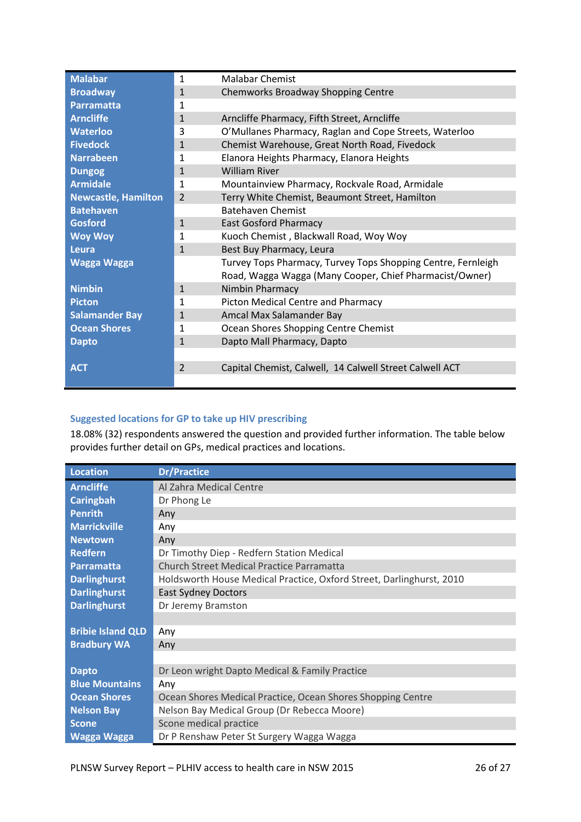| <b>Malabar</b>             | $\mathbf{1}$   | <b>Malabar Chemist</b>                                       |
|----------------------------|----------------|--------------------------------------------------------------|
| <b>Broadway</b>            | $\mathbf{1}$   | Chemworks Broadway Shopping Centre                           |
| Parramatta                 | 1              |                                                              |
| <b>Arncliffe</b>           | $\mathbf{1}$   | Arncliffe Pharmacy, Fifth Street, Arncliffe                  |
| <b>Waterloo</b>            | 3              | O'Mullanes Pharmacy, Raglan and Cope Streets, Waterloo       |
| <b>Fivedock</b>            | $\mathbf{1}$   | Chemist Warehouse, Great North Road, Fivedock                |
| <b>Narrabeen</b>           | 1              | Elanora Heights Pharmacy, Elanora Heights                    |
| <b>Dungog</b>              | $\mathbf{1}$   | <b>William River</b>                                         |
| <b>Armidale</b>            | $\mathbf{1}$   | Mountainview Pharmacy, Rockvale Road, Armidale               |
| <b>Newcastle, Hamilton</b> | $\overline{2}$ | Terry White Chemist, Beaumont Street, Hamilton               |
| <b>Batehaven</b>           |                | <b>Batehaven Chemist</b>                                     |
| <b>Gosford</b>             | $\mathbf{1}$   | <b>East Gosford Pharmacy</b>                                 |
| <b>Woy Woy</b>             | 1              | Kuoch Chemist, Blackwall Road, Woy Woy                       |
| Leura                      | $\mathbf{1}$   | Best Buy Pharmacy, Leura                                     |
| <b>Wagga Wagga</b>         |                | Turvey Tops Pharmacy, Turvey Tops Shopping Centre, Fernleigh |
|                            |                | Road, Wagga Wagga (Many Cooper, Chief Pharmacist/Owner)      |
| <b>Nimbin</b>              | $\mathbf{1}$   | Nimbin Pharmacy                                              |
| <b>Picton</b>              | $\mathbf{1}$   | Picton Medical Centre and Pharmacy                           |
| <b>Salamander Bay</b>      | $\mathbf{1}$   | Amcal Max Salamander Bay                                     |
| <b>Ocean Shores</b>        | 1              | Ocean Shores Shopping Centre Chemist                         |
| <b>Dapto</b>               | $\mathbf{1}$   | Dapto Mall Pharmacy, Dapto                                   |
|                            |                |                                                              |
| <b>ACT</b>                 | 2              | Capital Chemist, Calwell, 14 Calwell Street Calwell ACT      |
|                            |                |                                                              |

#### **Suggested locations for GP to take up HIV prescribing**

18.08% (32) respondents answered the question and provided further information. The table below provides further detail on GPs, medical practices and locations.

| <b>Location</b>          | <b>Dr/Practice</b>                                                   |
|--------------------------|----------------------------------------------------------------------|
| <b>Arncliffe</b>         | Al Zahra Medical Centre                                              |
| <b>Caringbah</b>         | Dr Phong Le                                                          |
| <b>Penrith</b>           | Any                                                                  |
| <b>Marrickville</b>      | Any                                                                  |
| <b>Newtown</b>           | Any                                                                  |
| <b>Redfern</b>           | Dr Timothy Diep - Redfern Station Medical                            |
| <b>Parramatta</b>        | <b>Church Street Medical Practice Parramatta</b>                     |
| <b>Darlinghurst</b>      | Holdsworth House Medical Practice, Oxford Street, Darlinghurst, 2010 |
| <b>Darlinghurst</b>      | <b>East Sydney Doctors</b>                                           |
| <b>Darlinghurst</b>      | Dr Jeremy Bramston                                                   |
|                          |                                                                      |
| <b>Bribie Island QLD</b> | Any                                                                  |
| <b>Bradbury WA</b>       | Any                                                                  |
|                          |                                                                      |
| <b>Dapto</b>             | Dr Leon wright Dapto Medical & Family Practice                       |
| <b>Blue Mountains</b>    | Any                                                                  |
| <b>Ocean Shores</b>      | Ocean Shores Medical Practice, Ocean Shores Shopping Centre          |
| <b>Nelson Bay</b>        | Nelson Bay Medical Group (Dr Rebecca Moore)                          |
| <b>Scone</b>             | Scone medical practice                                               |
| <b>Wagga Wagga</b>       | Dr P Renshaw Peter St Surgery Wagga Wagga                            |